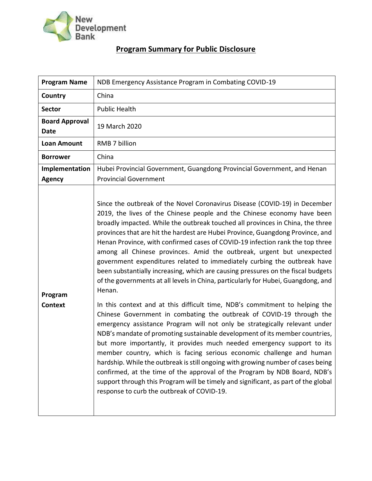

## **Program Summary for Public Disclosure**

| <b>Program Name</b>                  | NDB Emergency Assistance Program in Combating COVID-19                                                                                                                                                                                                                                                                                                                                                                                                                                                                                                                                                                                                                                                                                                                                                                                                                                                                                                                                                                                                                                                                                                                                                                                                                                                                                                                                                                                                                                                                        |  |  |  |
|--------------------------------------|-------------------------------------------------------------------------------------------------------------------------------------------------------------------------------------------------------------------------------------------------------------------------------------------------------------------------------------------------------------------------------------------------------------------------------------------------------------------------------------------------------------------------------------------------------------------------------------------------------------------------------------------------------------------------------------------------------------------------------------------------------------------------------------------------------------------------------------------------------------------------------------------------------------------------------------------------------------------------------------------------------------------------------------------------------------------------------------------------------------------------------------------------------------------------------------------------------------------------------------------------------------------------------------------------------------------------------------------------------------------------------------------------------------------------------------------------------------------------------------------------------------------------------|--|--|--|
| Country                              | China                                                                                                                                                                                                                                                                                                                                                                                                                                                                                                                                                                                                                                                                                                                                                                                                                                                                                                                                                                                                                                                                                                                                                                                                                                                                                                                                                                                                                                                                                                                         |  |  |  |
| <b>Sector</b>                        | <b>Public Health</b>                                                                                                                                                                                                                                                                                                                                                                                                                                                                                                                                                                                                                                                                                                                                                                                                                                                                                                                                                                                                                                                                                                                                                                                                                                                                                                                                                                                                                                                                                                          |  |  |  |
| <b>Board Approval</b><br><b>Date</b> | 19 March 2020                                                                                                                                                                                                                                                                                                                                                                                                                                                                                                                                                                                                                                                                                                                                                                                                                                                                                                                                                                                                                                                                                                                                                                                                                                                                                                                                                                                                                                                                                                                 |  |  |  |
| <b>Loan Amount</b>                   | RMB 7 billion                                                                                                                                                                                                                                                                                                                                                                                                                                                                                                                                                                                                                                                                                                                                                                                                                                                                                                                                                                                                                                                                                                                                                                                                                                                                                                                                                                                                                                                                                                                 |  |  |  |
| <b>Borrower</b>                      | China                                                                                                                                                                                                                                                                                                                                                                                                                                                                                                                                                                                                                                                                                                                                                                                                                                                                                                                                                                                                                                                                                                                                                                                                                                                                                                                                                                                                                                                                                                                         |  |  |  |
| Implementation<br><b>Agency</b>      | Hubei Provincial Government, Guangdong Provincial Government, and Henan<br><b>Provincial Government</b>                                                                                                                                                                                                                                                                                                                                                                                                                                                                                                                                                                                                                                                                                                                                                                                                                                                                                                                                                                                                                                                                                                                                                                                                                                                                                                                                                                                                                       |  |  |  |
| Program<br><b>Context</b>            | Since the outbreak of the Novel Coronavirus Disease (COVID-19) in December<br>2019, the lives of the Chinese people and the Chinese economy have been<br>broadly impacted. While the outbreak touched all provinces in China, the three<br>provinces that are hit the hardest are Hubei Province, Guangdong Province, and<br>Henan Province, with confirmed cases of COVID-19 infection rank the top three<br>among all Chinese provinces. Amid the outbreak, urgent but unexpected<br>government expenditures related to immediately curbing the outbreak have<br>been substantially increasing, which are causing pressures on the fiscal budgets<br>of the governments at all levels in China, particularly for Hubei, Guangdong, and<br>Henan.<br>In this context and at this difficult time, NDB's commitment to helping the<br>Chinese Government in combating the outbreak of COVID-19 through the<br>emergency assistance Program will not only be strategically relevant under<br>NDB's mandate of promoting sustainable development of its member countries,<br>but more importantly, it provides much needed emergency support to its<br>member country, which is facing serious economic challenge and human<br>hardship. While the outbreak is still ongoing with growing number of cases being<br>confirmed, at the time of the approval of the Program by NDB Board, NDB's<br>support through this Program will be timely and significant, as part of the global<br>response to curb the outbreak of COVID-19. |  |  |  |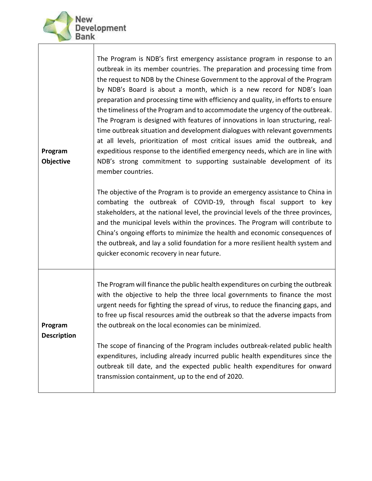

| Program<br>Objective          | The Program is NDB's first emergency assistance program in response to an<br>outbreak in its member countries. The preparation and processing time from<br>the request to NDB by the Chinese Government to the approval of the Program<br>by NDB's Board is about a month, which is a new record for NDB's loan<br>preparation and processing time with efficiency and quality, in efforts to ensure<br>the timeliness of the Program and to accommodate the urgency of the outbreak.<br>The Program is designed with features of innovations in loan structuring, real-<br>time outbreak situation and development dialogues with relevant governments<br>at all levels, prioritization of most critical issues amid the outbreak, and<br>expeditious response to the identified emergency needs, which are in line with<br>NDB's strong commitment to supporting sustainable development of its<br>member countries. |  |  |
|-------------------------------|------------------------------------------------------------------------------------------------------------------------------------------------------------------------------------------------------------------------------------------------------------------------------------------------------------------------------------------------------------------------------------------------------------------------------------------------------------------------------------------------------------------------------------------------------------------------------------------------------------------------------------------------------------------------------------------------------------------------------------------------------------------------------------------------------------------------------------------------------------------------------------------------------------------------|--|--|
|                               | The objective of the Program is to provide an emergency assistance to China in<br>combating the outbreak of COVID-19, through fiscal support to key<br>stakeholders, at the national level, the provincial levels of the three provinces,<br>and the municipal levels within the provinces. The Program will contribute to<br>China's ongoing efforts to minimize the health and economic consequences of<br>the outbreak, and lay a solid foundation for a more resilient health system and<br>quicker economic recovery in near future.                                                                                                                                                                                                                                                                                                                                                                              |  |  |
| Program<br><b>Description</b> | The Program will finance the public health expenditures on curbing the outbreak<br>with the objective to help the three local governments to finance the most<br>urgent needs for fighting the spread of virus, to reduce the financing gaps, and<br>to free up fiscal resources amid the outbreak so that the adverse impacts from<br>the outbreak on the local economies can be minimized.                                                                                                                                                                                                                                                                                                                                                                                                                                                                                                                           |  |  |
|                               | The scope of financing of the Program includes outbreak-related public health<br>expenditures, including already incurred public health expenditures since the<br>outbreak till date, and the expected public health expenditures for onward<br>transmission containment, up to the end of 2020.                                                                                                                                                                                                                                                                                                                                                                                                                                                                                                                                                                                                                       |  |  |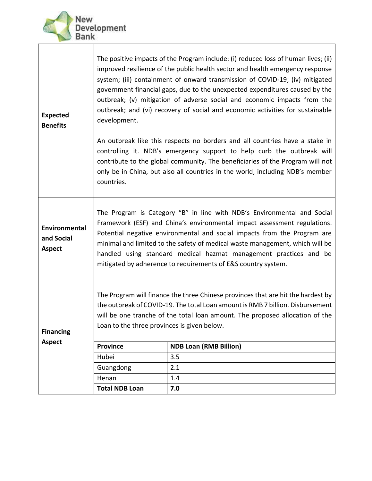

 $\mathbf{I}$ 

Τ

| <b>Expected</b><br><b>Benefits</b>           | The positive impacts of the Program include: (i) reduced loss of human lives; (ii)<br>improved resilience of the public health sector and health emergency response<br>system; (iii) containment of onward transmission of COVID-19; (iv) mitigated<br>government financial gaps, due to the unexpected expenditures caused by the<br>outbreak; (v) mitigation of adverse social and economic impacts from the<br>outbreak; and (vi) recovery of social and economic activities for sustainable<br>development.<br>An outbreak like this respects no borders and all countries have a stake in<br>controlling it. NDB's emergency support to help curb the outbreak will<br>contribute to the global community. The beneficiaries of the Program will not<br>only be in China, but also all countries in the world, including NDB's member |                               |  |  |  |  |
|----------------------------------------------|--------------------------------------------------------------------------------------------------------------------------------------------------------------------------------------------------------------------------------------------------------------------------------------------------------------------------------------------------------------------------------------------------------------------------------------------------------------------------------------------------------------------------------------------------------------------------------------------------------------------------------------------------------------------------------------------------------------------------------------------------------------------------------------------------------------------------------------------|-------------------------------|--|--|--|--|
|                                              | countries.                                                                                                                                                                                                                                                                                                                                                                                                                                                                                                                                                                                                                                                                                                                                                                                                                                 |                               |  |  |  |  |
| Environmental<br>and Social<br><b>Aspect</b> | The Program is Category "B" in line with NDB's Environmental and Social<br>Framework (ESF) and China's environmental impact assessment regulations.<br>Potential negative environmental and social impacts from the Program are<br>minimal and limited to the safety of medical waste management, which will be<br>handled using standard medical hazmat management practices and be<br>mitigated by adherence to requirements of E&S country system.                                                                                                                                                                                                                                                                                                                                                                                      |                               |  |  |  |  |
| <b>Financing</b><br><b>Aspect</b>            | The Program will finance the three Chinese provinces that are hit the hardest by<br>the outbreak of COVID-19. The total Loan amount is RMB 7 billion. Disbursement<br>will be one tranche of the total loan amount. The proposed allocation of the<br>Loan to the three provinces is given below.                                                                                                                                                                                                                                                                                                                                                                                                                                                                                                                                          |                               |  |  |  |  |
|                                              | <b>Province</b>                                                                                                                                                                                                                                                                                                                                                                                                                                                                                                                                                                                                                                                                                                                                                                                                                            | <b>NDB Loan (RMB Billion)</b> |  |  |  |  |
|                                              | Hubei                                                                                                                                                                                                                                                                                                                                                                                                                                                                                                                                                                                                                                                                                                                                                                                                                                      | 3.5                           |  |  |  |  |
|                                              | Guangdong                                                                                                                                                                                                                                                                                                                                                                                                                                                                                                                                                                                                                                                                                                                                                                                                                                  | 2.1                           |  |  |  |  |
|                                              | Henan                                                                                                                                                                                                                                                                                                                                                                                                                                                                                                                                                                                                                                                                                                                                                                                                                                      | 1.4                           |  |  |  |  |
|                                              | <b>Total NDB Loan</b>                                                                                                                                                                                                                                                                                                                                                                                                                                                                                                                                                                                                                                                                                                                                                                                                                      | 7.0                           |  |  |  |  |